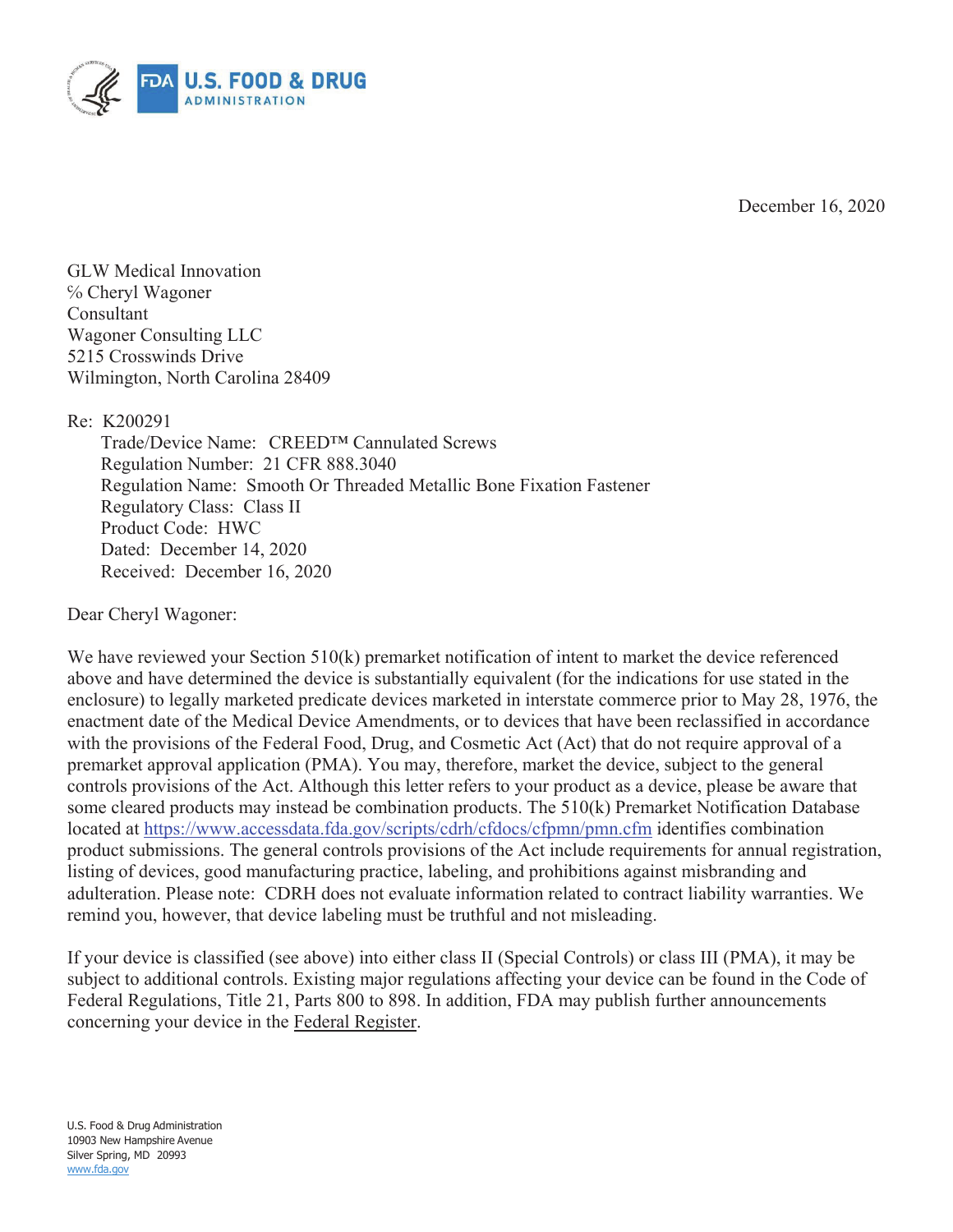

December 16, 2020

GLW Medical Innovation ℅ Cheryl Wagoner Consultant Wagoner Consulting LLC 5215 Crosswinds Drive Wilmington, North Carolina 28409

Re: K200291

Trade/Device Name: CREED™ Cannulated Screws Regulation Number: 21 CFR 888.3040 Regulation Name: Smooth Or Threaded Metallic Bone Fixation Fastener Regulatory Class: Class II Product Code: HWC Dated: December 14, 2020 Received: December 16, 2020

Dear Cheryl Wagoner:

We have reviewed your Section 510(k) premarket notification of intent to market the device referenced above and have determined the device is substantially equivalent (for the indications for use stated in the enclosure) to legally marketed predicate devices marketed in interstate commerce prior to May 28, 1976, the enactment date of the Medical Device Amendments, or to devices that have been reclassified in accordance with the provisions of the Federal Food, Drug, and Cosmetic Act (Act) that do not require approval of a premarket approval application (PMA). You may, therefore, market the device, subject to the general controls provisions of the Act. Although this letter refers to your product as a device, please be aware that some cleared products may instead be combination products. The 510(k) Premarket Notification Database located at https://www.accessdata.fda.gov/scripts/cdrh/cfdocs/cfpmn/pmn.cfm identifies combination product submissions. The general controls provisions of the Act include requirements for annual registration, listing of devices, good manufacturing practice, labeling, and prohibitions against misbranding and adulteration. Please note: CDRH does not evaluate information related to contract liability warranties. We remind you, however, that device labeling must be truthful and not misleading.

If your device is classified (see above) into either class II (Special Controls) or class III (PMA), it may be subject to additional controls. Existing major regulations affecting your device can be found in the Code of Federal Regulations, Title 21, Parts 800 to 898. In addition, FDA may publish further announcements concerning your device in the Federal Register.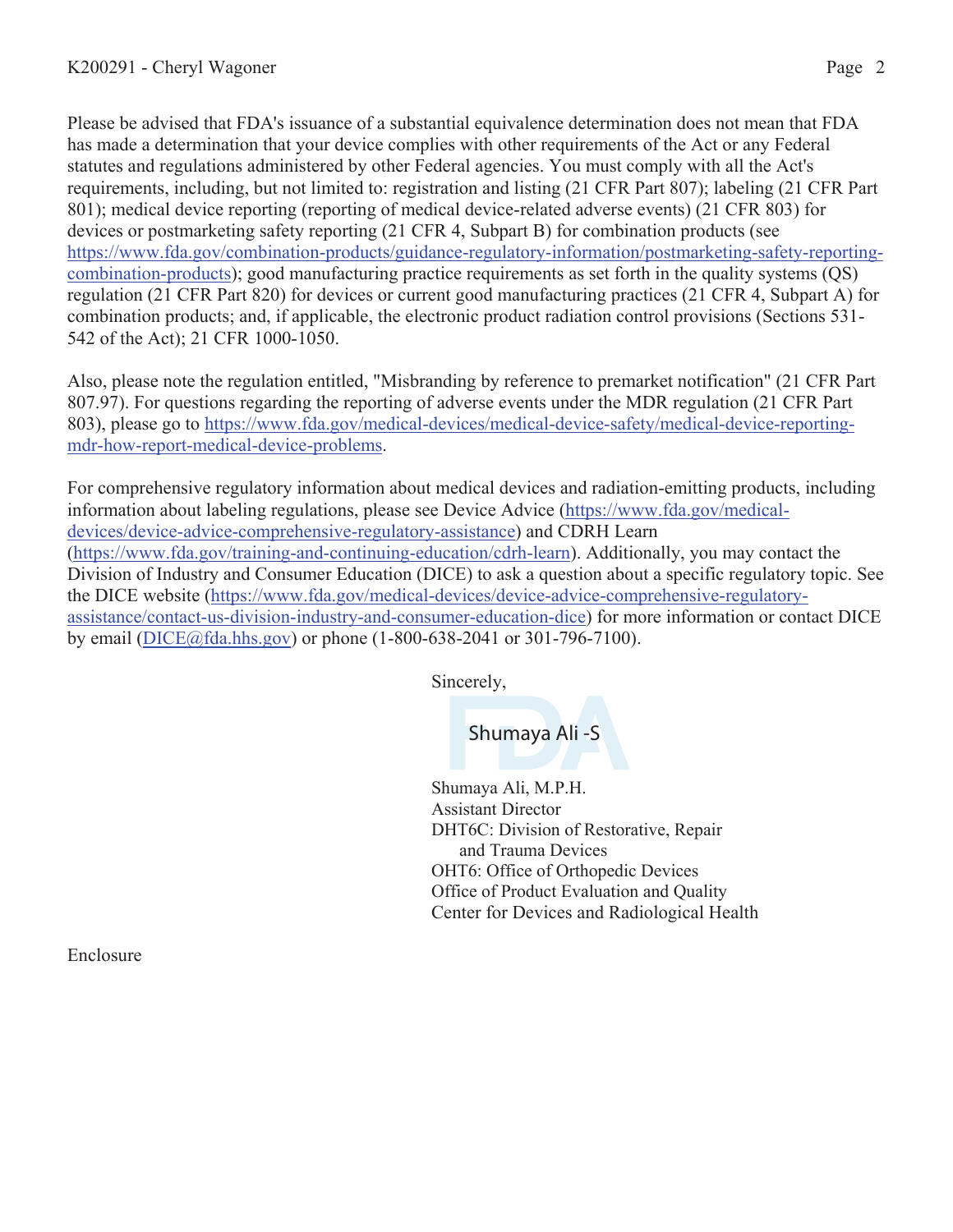Please be advised that FDA's issuance of a substantial equivalence determination does not mean that FDA has made a determination that your device complies with other requirements of the Act or any Federal statutes and regulations administered by other Federal agencies. You must comply with all the Act's requirements, including, but not limited to: registration and listing (21 CFR Part 807); labeling (21 CFR Part 801); medical device reporting (reporting of medical device-related adverse events) (21 CFR 803) for devices or postmarketing safety reporting (21 CFR 4, Subpart B) for combination products (see https://www.fda.gov/combination-products/guidance-regulatory-information/postmarketing-safety-reportingcombination-products); good manufacturing practice requirements as set forth in the quality systems (QS) regulation (21 CFR Part 820) for devices or current good manufacturing practices (21 CFR 4, Subpart A) for combination products; and, if applicable, the electronic product radiation control provisions (Sections 531- 542 of the Act); 21 CFR 1000-1050.

Also, please note the regulation entitled, "Misbranding by reference to premarket notification" (21 CFR Part 807.97). For questions regarding the reporting of adverse events under the MDR regulation (21 CFR Part 803), please go to https://www.fda.gov/medical-devices/medical-device-safety/medical-device-reportingmdr-how-report-medical-device-problems.

For comprehensive regulatory information about medical devices and radiation-emitting products, including information about labeling regulations, please see Device Advice (https://www.fda.gov/medicaldevices/device-advice-comprehensive-regulatory-assistance) and CDRH Learn (https://www.fda.gov/training-and-continuing-education/cdrh-learn). Additionally, you may contact the Division of Industry and Consumer Education (DICE) to ask a question about a specific regulatory topic. See the DICE website (https://www.fda.gov/medical-devices/device-advice-comprehensive-regulatoryassistance/contact-us-division-industry-and-consumer-education-dice) for more information or contact DICE by email (DICE@fda.hhs.gov) or phone (1-800-638-2041 or 301-796-7100).

Sincerely,

Shumaya Ali -S

Shumaya Ali, M.P.H. Assistant Director DHT6C: Division of Restorative, Repair and Trauma Devices OHT6: Office of Orthopedic Devices Office of Product Evaluation and Quality Center for Devices and Radiological Health

Enclosure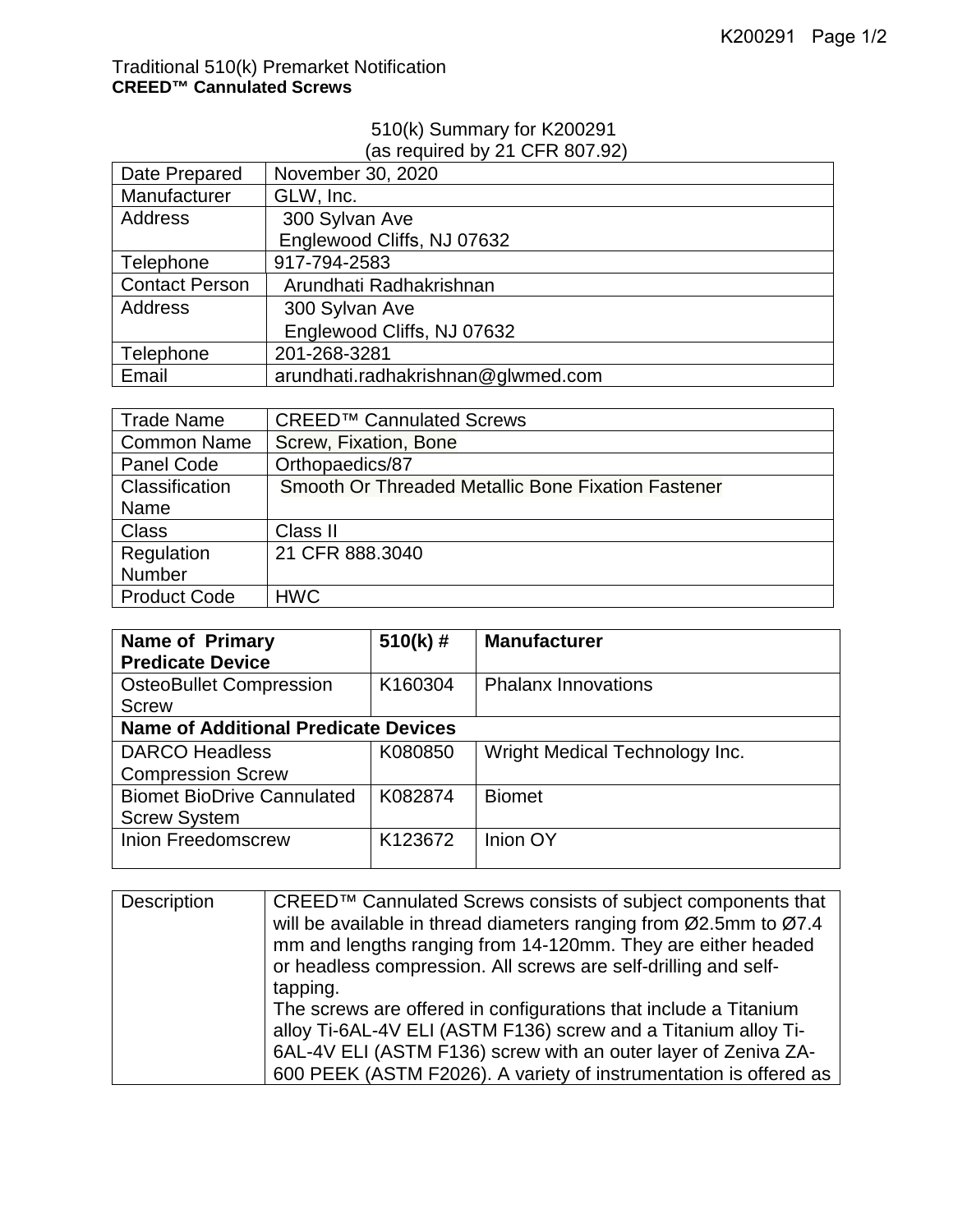## Traditional 510(k) Premarket Notification **CREED™ Cannulated Screws**

## 510(k) Summary for K200291

## (as required by 21 CFR 807.92)

| Date Prepared         | November 30, 2020                  |
|-----------------------|------------------------------------|
| Manufacturer          | GLW, Inc.                          |
| <b>Address</b>        | 300 Sylvan Ave                     |
|                       | Englewood Cliffs, NJ 07632         |
| Telephone             | 917-794-2583                       |
| <b>Contact Person</b> | Arundhati Radhakrishnan            |
| <b>Address</b>        | 300 Sylvan Ave                     |
|                       | Englewood Cliffs, NJ 07632         |
| Telephone             | 201-268-3281                       |
| Email                 | arundhati.radhakrishnan@glwmed.com |

| <b>Trade Name</b>   | CREED <sup>™</sup> Cannulated Screws               |
|---------------------|----------------------------------------------------|
| <b>Common Name</b>  | Screw, Fixation, Bone                              |
| <b>Panel Code</b>   | Orthopaedics/87                                    |
| Classification      | Smooth Or Threaded Metallic Bone Fixation Fastener |
| Name                |                                                    |
| <b>Class</b>        | Class II                                           |
| Regulation          | 21 CFR 888.3040                                    |
| Number              |                                                    |
| <b>Product Code</b> | <b>HWC</b>                                         |

| <b>Name of Primary</b>                      | $510(k)$ # | <b>Manufacturer</b>            |
|---------------------------------------------|------------|--------------------------------|
| <b>Predicate Device</b>                     |            |                                |
| <b>OsteoBullet Compression</b>              | K160304    | <b>Phalanx Innovations</b>     |
| <b>Screw</b>                                |            |                                |
| <b>Name of Additional Predicate Devices</b> |            |                                |
| <b>DARCO Headless</b>                       | K080850    | Wright Medical Technology Inc. |
| <b>Compression Screw</b>                    |            |                                |
| <b>Biomet BioDrive Cannulated</b>           | K082874    | <b>Biomet</b>                  |
| <b>Screw System</b>                         |            |                                |
| <b>Inion Freedomscrew</b>                   | K123672    | Inion OY                       |
|                                             |            |                                |

| Description | CREED™ Cannulated Screws consists of subject components that      |
|-------------|-------------------------------------------------------------------|
|             | will be available in thread diameters ranging from Ø2.5mm to Ø7.4 |
|             | mm and lengths ranging from 14-120mm. They are either headed      |
|             | or headless compression. All screws are self-drilling and self-   |
|             | tapping.                                                          |
|             | The screws are offered in configurations that include a Titanium  |
|             | alloy Ti-6AL-4V ELI (ASTM F136) screw and a Titanium alloy Ti-    |
|             | 6AL-4V ELI (ASTM F136) screw with an outer layer of Zeniva ZA-    |
|             | 600 PEEK (ASTM F2026). A variety of instrumentation is offered as |